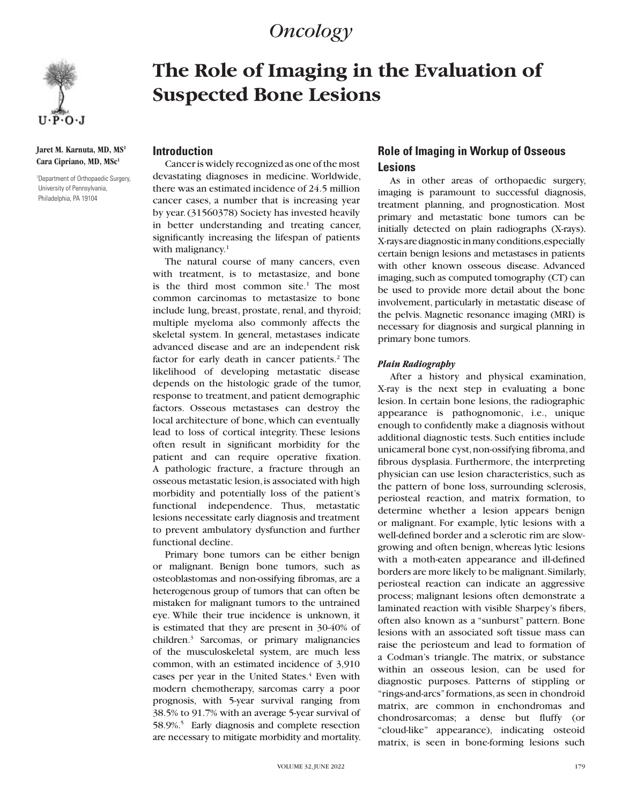# *Oncology*



**Jaret M. Karnuta, MD, MS1 Cara Cipriano, MD, MSc1**

1 Department of Orthopaedic Surgery, University of Pennsylvania, Philadelphia, PA 19104

# **The Role of Imaging in the Evaluation of Suspected Bone Lesions**

## **Introduction**

Cancer is widely recognized as one of the most devastating diagnoses in medicine. Worldwide, there was an estimated incidence of 24.5 million cancer cases, a number that is increasing year by year. (31560378) Society has invested heavily in better understanding and treating cancer, significantly increasing the lifespan of patients with malignancy. $1$ 

The natural course of many cancers, even with treatment, is to metastasize, and bone is the third most common site.<sup>1</sup> The most common carcinomas to metastasize to bone include lung, breast, prostate, renal, and thyroid; multiple myeloma also commonly affects the skeletal system. In general, metastases indicate advanced disease and are an independent risk factor for early death in cancer patients.<sup>2</sup> The likelihood of developing metastatic disease depends on the histologic grade of the tumor, response to treatment, and patient demographic factors. Osseous metastases can destroy the local architecture of bone, which can eventually lead to loss of cortical integrity. These lesions often result in significant morbidity for the patient and can require operative fixation. A pathologic fracture, a fracture through an osseous metastatic lesion, is associated with high morbidity and potentially loss of the patient's functional independence. Thus, metastatic lesions necessitate early diagnosis and treatment to prevent ambulatory dysfunction and further functional decline.

Primary bone tumors can be either benign or malignant. Benign bone tumors, such as osteoblastomas and non-ossifying fibromas, are a heterogenous group of tumors that can often be mistaken for malignant tumors to the untrained eye. While their true incidence is unknown, it is estimated that they are present in 30-40% of children.3 Sarcomas, or primary malignancies of the musculoskeletal system, are much less common, with an estimated incidence of 3,910 cases per year in the United States.<sup>4</sup> Even with modern chemotherapy, sarcomas carry a poor prognosis, with 5-year survival ranging from 38.5% to 91.7% with an average 5-year survival of 58.9%.<sup>5</sup> Early diagnosis and complete resection are necessary to mitigate morbidity and mortality.

# **Role of Imaging in Workup of Osseous Lesions**

As in other areas of orthopaedic surgery, imaging is paramount to successful diagnosis, treatment planning, and prognostication. Most primary and metastatic bone tumors can be initially detected on plain radiographs (X-rays). X-rays are diagnostic in many conditions, especially certain benign lesions and metastases in patients with other known osseous disease. Advanced imaging, such as computed tomography (CT) can be used to provide more detail about the bone involvement, particularly in metastatic disease of the pelvis. Magnetic resonance imaging (MRI) is necessary for diagnosis and surgical planning in primary bone tumors.

#### *Plain Radiography*

After a history and physical examination, X-ray is the next step in evaluating a bone lesion. In certain bone lesions, the radiographic appearance is pathognomonic, i.e., unique enough to confidently make a diagnosis without additional diagnostic tests. Such entities include unicameral bone cyst, non-ossifying fibroma, and fibrous dysplasia. Furthermore, the interpreting physician can use lesion characteristics, such as the pattern of bone loss, surrounding sclerosis, periosteal reaction, and matrix formation, to determine whether a lesion appears benign or malignant. For example, lytic lesions with a well-defined border and a sclerotic rim are slowgrowing and often benign, whereas lytic lesions with a moth-eaten appearance and ill-defined borders are more likely to be malignant. Similarly, periosteal reaction can indicate an aggressive process; malignant lesions often demonstrate a laminated reaction with visible Sharpey's fibers, often also known as a "sunburst" pattern. Bone lesions with an associated soft tissue mass can raise the periosteum and lead to formation of a Codman's triangle. The matrix, or substance within an osseous lesion, can be used for diagnostic purposes. Patterns of stippling or "rings-and-arcs" formations, as seen in chondroid matrix, are common in enchondromas and chondrosarcomas; a dense but fluffy (or "cloud-like" appearance), indicating osteoid matrix, is seen in bone-forming lesions such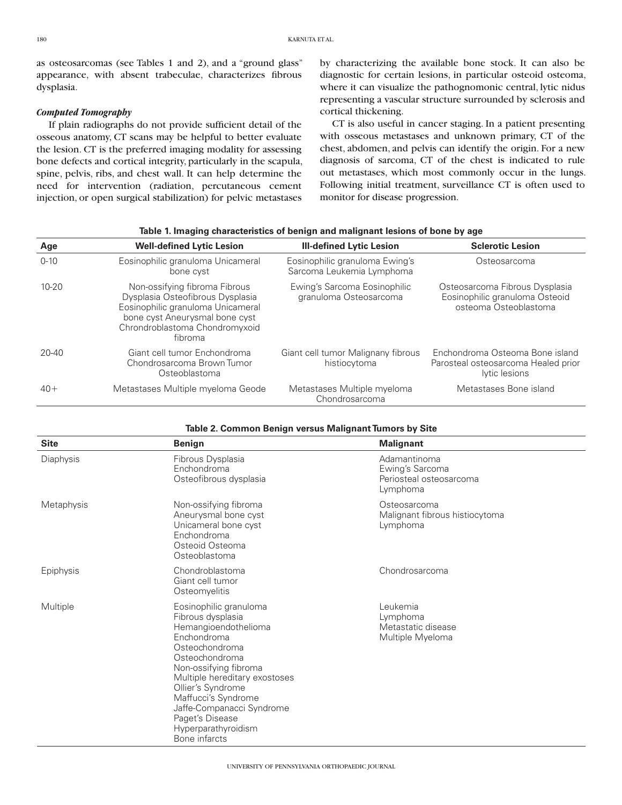as osteosarcomas (see Tables 1 and 2), and a "ground glass" appearance, with absent trabeculae, characterizes fibrous dysplasia.

#### *Computed Tomography*

If plain radiographs do not provide sufficient detail of the osseous anatomy, CT scans may be helpful to better evaluate the lesion. CT is the preferred imaging modality for assessing bone defects and cortical integrity, particularly in the scapula, spine, pelvis, ribs, and chest wall. It can help determine the need for intervention (radiation, percutaneous cement injection, or open surgical stabilization) for pelvic metastases

by characterizing the available bone stock. It can also be diagnostic for certain lesions, in particular osteoid osteoma, where it can visualize the pathognomonic central, lytic nidus representing a vascular structure surrounded by sclerosis and cortical thickening.

CT is also useful in cancer staging. In a patient presenting with osseous metastases and unknown primary, CT of the chest, abdomen, and pelvis can identify the origin. For a new diagnosis of sarcoma, CT of the chest is indicated to rule out metastases, which most commonly occur in the lungs. Following initial treatment, surveillance CT is often used to monitor for disease progression.

| Age       | <b>Well-defined Lytic Lesion</b>                                                                                                                                                      | <b>III-defined Lytic Lesion</b>                             | <b>Sclerotic Lesion</b>                                                                   |
|-----------|---------------------------------------------------------------------------------------------------------------------------------------------------------------------------------------|-------------------------------------------------------------|-------------------------------------------------------------------------------------------|
| $0 - 10$  | Eosinophilic granuloma Unicameral<br>bone cyst                                                                                                                                        | Eosinophilic granuloma Ewing's<br>Sarcoma Leukemia Lymphoma | Osteosarcoma                                                                              |
| $10 - 20$ | Non-ossifying fibroma Fibrous<br>Dysplasia Osteofibrous Dysplasia<br>Eosinophilic granuloma Unicameral<br>bone cyst Aneurysmal bone cyst<br>Chrondroblastoma Chondromyxoid<br>fibroma | Ewing's Sarcoma Eosinophilic<br>granuloma Osteosarcoma      | Osteosarcoma Fibrous Dysplasia<br>Eosinophilic granuloma Osteoid<br>osteoma Osteoblastoma |
| $20 - 40$ | Giant cell tumor Enchondroma<br>Chondrosarcoma Brown Tumor<br>Osteoblastoma                                                                                                           | Giant cell tumor Malignany fibrous<br>histiocytoma          | Enchondroma Osteoma Bone island<br>Parosteal osteosarcoma Healed prior<br>lytic lesions   |
| $40+$     | Metastases Multiple myeloma Geode                                                                                                                                                     | Metastases Multiple myeloma<br>Chondrosarcoma               | Metastases Bone island                                                                    |

|  |  | Table 1. Imaging characteristics of benign and malignant lesions of bone by age |  |  |
|--|--|---------------------------------------------------------------------------------|--|--|
|  |  |                                                                                 |  |  |

**Table 2. Common Benign versus Malignant Tumors by Site**

| <b>Site</b> | <b>Benign</b>                                                                                                                                                                                                                                                                                                        | <b>Malignant</b>                                                       |
|-------------|----------------------------------------------------------------------------------------------------------------------------------------------------------------------------------------------------------------------------------------------------------------------------------------------------------------------|------------------------------------------------------------------------|
| Diaphysis   | Fibrous Dysplasia<br>Enchondroma<br>Osteofibrous dysplasia                                                                                                                                                                                                                                                           | Adamantinoma<br>Ewing's Sarcoma<br>Periosteal osteosarcoma<br>Lymphoma |
| Metaphysis  | Non-ossifying fibroma<br>Aneurysmal bone cyst<br>Unicameral bone cyst<br>Enchondroma<br>Osteoid Osteoma<br>Osteoblastoma                                                                                                                                                                                             | Osteosarcoma<br>Malignant fibrous histiocytoma<br>Lymphoma             |
| Epiphysis   | Chondroblastoma<br>Giant cell tumor<br>Osteomyelitis                                                                                                                                                                                                                                                                 | Chondrosarcoma                                                         |
| Multiple    | Eosinophilic granuloma<br>Fibrous dysplasia<br>Hemangioendothelioma<br>Enchondroma<br>Osteochondroma<br>Osteochondroma<br>Non-ossifying fibroma<br>Multiple hereditary exostoses<br>Ollier's Syndrome<br>Maffucci's Syndrome<br>Jaffe-Companacci Syndrome<br>Paget's Disease<br>Hyperparathyroidism<br>Bone infarcts | Leukemia<br>Lymphoma<br>Metastatic disease<br>Multiple Myeloma         |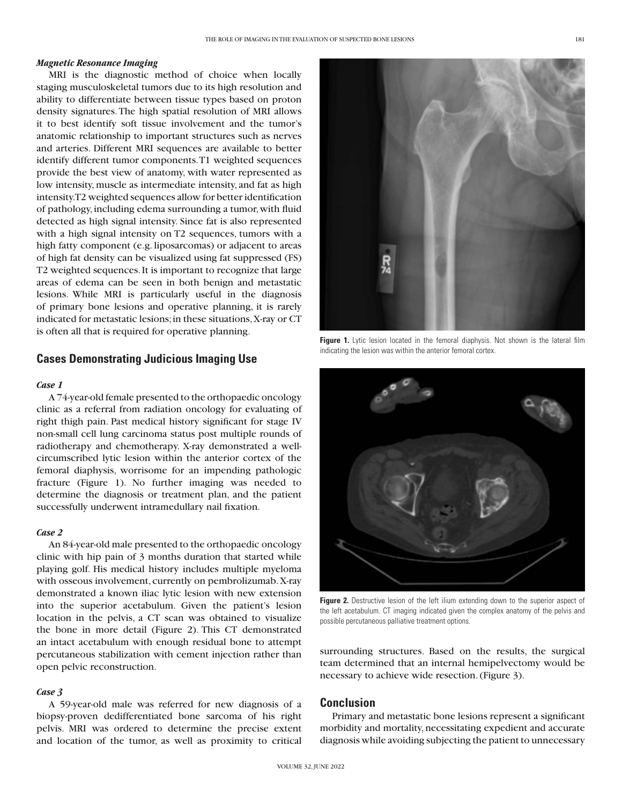#### *Magnetic Resonance Imaging*

MRI is the diagnostic method of choice when locally staging musculoskeletal tumors due to its high resolution and ability to differentiate between tissue types based on proton density signatures. The high spatial resolution of MRI allows it to best identify soft tissue involvement and the tumor's anatomic relationship to important structures such as nerves and arteries. Different MRI sequences are available to better identify different tumor components. T1 weighted sequences provide the best view of anatomy, with water represented as low intensity, muscle as intermediate intensity, and fat as high intensity. T2 weighted sequences allow for better identification of pathology, including edema surrounding a tumor, with fluid detected as high signal intensity. Since fat is also represented with a high signal intensity on T2 sequences, tumors with a high fatty component (e.g. liposarcomas) or adjacent to areas of high fat density can be visualized using fat suppressed (FS) T2 weighted sequences. It is important to recognize that large areas of edema can be seen in both benign and metastatic lesions. While MRI is particularly useful in the diagnosis of primary bone lesions and operative planning, it is rarely indicated for metastatic lesions; in these situations, X-ray or CT is often all that is required for operative planning.

#### **Cases Demonstrating Judicious Imaging Use**

#### *Case 1*

A 74-year-old female presented to the orthopaedic oncology clinic as a referral from radiation oncology for evaluating of right thigh pain. Past medical history significant for stage IV non-small cell lung carcinoma status post multiple rounds of radiotherapy and chemotherapy. X-ray demonstrated a wellcircumscribed lytic lesion within the anterior cortex of the femoral diaphysis, worrisome for an impending pathologic fracture (Figure 1). No further imaging was needed to determine the diagnosis or treatment plan, and the patient successfully underwent intramedullary nail fixation.

#### *Case 2*

An 84-year-old male presented to the orthopaedic oncology clinic with hip pain of 3 months duration that started while playing golf. His medical history includes multiple myeloma with osseous involvement, currently on pembrolizumab. X-ray demonstrated a known iliac lytic lesion with new extension into the superior acetabulum. Given the patient's lesion location in the pelvis, a CT scan was obtained to visualize the bone in more detail (Figure 2). This CT demonstrated an intact acetabulum with enough residual bone to attempt percutaneous stabilization with cement injection rather than open pelvic reconstruction.

#### *Case 3*

A 59-year-old male was referred for new diagnosis of a biopsy-proven dedifferentiated bone sarcoma of his right pelvis. MRI was ordered to determine the precise extent and location of the tumor, as well as proximity to critical



**Figure 1.** Lytic lesion located in the femoral diaphysis. Not shown is the lateral film indicating the lesion was within the anterior femoral cortex.



**Figure 2.** Destructive lesion of the left ilium extending down to the superior aspect of the left acetabulum. CT imaging indicated given the complex anatomy of the pelvis and possible percutaneous palliative treatment options.

surrounding structures. Based on the results, the surgical team determined that an internal hemipelvectomy would be necessary to achieve wide resection. (Figure 3).

### **Conclusion**

Primary and metastatic bone lesions represent a significant morbidity and mortality, necessitating expedient and accurate diagnosis while avoiding subjecting the patient to unnecessary